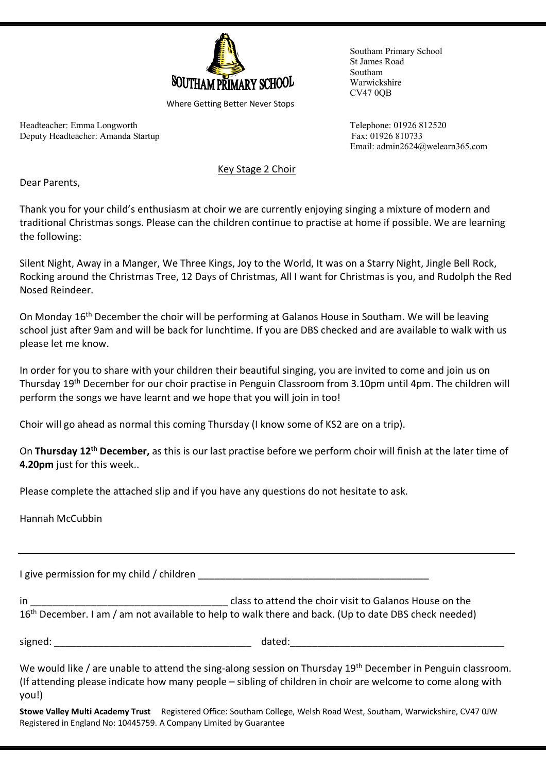

Where Getting Better Never Stops

Headteacher: Emma Longworth Telephone: 01926 812520 Deputy Headteacher: Amanda Startup Fax: 01926 810733

Southam Primary School St James Road Southam Warwickshire CV47 0QB

Email: admin2624@welearn365.com

Key Stage 2 Choir

Dear Parents,

Thank you for your child's enthusiasm at choir we are currently enjoying singing a mixture of modern and traditional Christmas songs. Please can the children continue to practise at home if possible. We are learning the following:

Silent Night, Away in a Manger, We Three Kings, Joy to the World, It was on a Starry Night, Jingle Bell Rock, Rocking around the Christmas Tree, 12 Days of Christmas, All I want for Christmas is you, and Rudolph the Red Nosed Reindeer.

On Monday 16<sup>th</sup> December the choir will be performing at Galanos House in Southam. We will be leaving school just after 9am and will be back for lunchtime. If you are DBS checked and are available to walk with us please let me know.

In order for you to share with your children their beautiful singing, you are invited to come and join us on Thursday 19th December for our choir practise in Penguin Classroom from 3.10pm until 4pm. The children will perform the songs we have learnt and we hope that you will join in too!

Choir will go ahead as normal this coming Thursday (I know some of KS2 are on a trip).

On **Thursday 12th December,** as this is our last practise before we perform choir will finish at the later time of **4.20pm** just for this week..

Please complete the attached slip and if you have any questions do not hesitate to ask.

Hannah McCubbin

I give permission for my child / children **that in the set of the set of the set of the set of the set of the s** 

in \_\_\_\_\_\_\_\_\_\_\_\_\_\_\_\_\_\_\_\_\_\_\_\_\_\_\_\_\_\_\_\_\_\_\_\_ class to attend the choir visit to Galanos House on the 16<sup>th</sup> December. I am / am not available to help to walk there and back. (Up to date DBS check needed)

signed: The contract of the contract of the contract of dated:  $\frac{1}{2}$  dated:

We would like / are unable to attend the sing-along session on Thursday 19<sup>th</sup> December in Penguin classroom. (If attending please indicate how many people – sibling of children in choir are welcome to come along with you!)

**Stowe Valley Multi Academy Trust** Registered Office: Southam College, Welsh Road West, Southam, Warwickshire, CV47 0JW Registered in England No: 10445759. A Company Limited by Guarantee